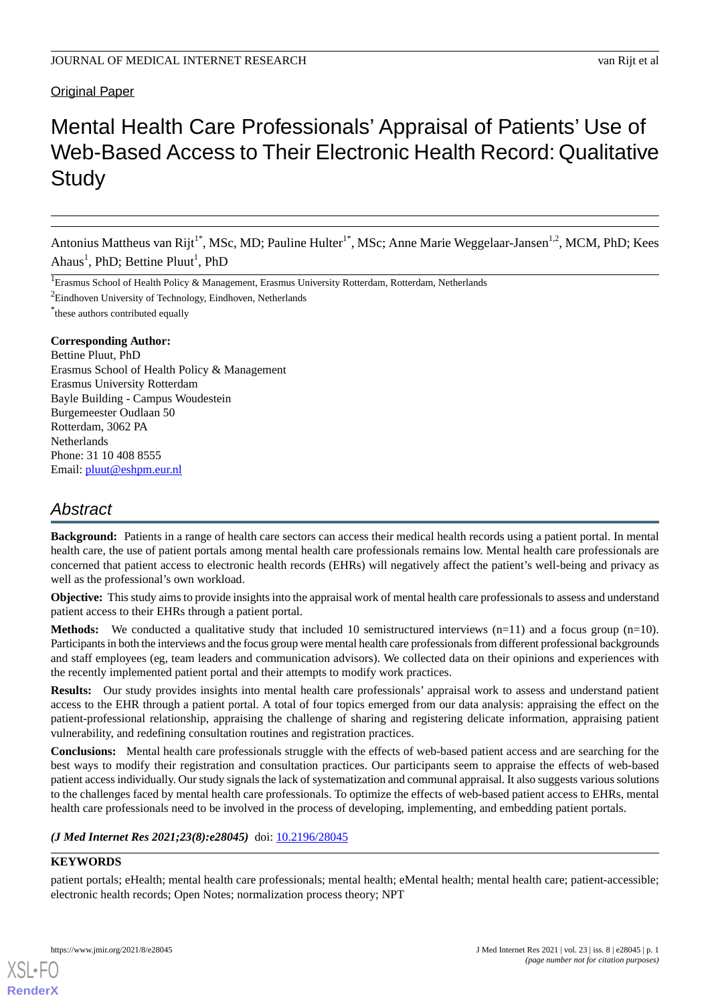# Original Paper

# Mental Health Care Professionals' Appraisal of Patients' Use of Web-Based Access to Their Electronic Health Record: Qualitative **Study**

Antonius Mattheus van Rijt<sup>1\*</sup>, MSc, MD; Pauline Hulter<sup>1\*</sup>, MSc; Anne Marie Weggelaar-Jansen<sup>1,2</sup>, MCM, PhD; Kees Ahaus<sup>1</sup>, PhD; Bettine Pluut<sup>1</sup>, PhD

<sup>1</sup>Erasmus School of Health Policy & Management, Erasmus University Rotterdam, Rotterdam, Netherlands

 $2$ Eindhoven University of Technology, Eindhoven, Netherlands

\* these authors contributed equally

#### **Corresponding Author:**

Bettine Pluut, PhD Erasmus School of Health Policy & Management Erasmus University Rotterdam Bayle Building - Campus Woudestein Burgemeester Oudlaan 50 Rotterdam, 3062 PA **Netherlands** Phone: 31 10 408 8555 Email: [pluut@eshpm.eur.nl](mailto:pluut@eshpm.eur.nl)

# *Abstract*

**Background:** Patients in a range of health care sectors can access their medical health records using a patient portal. In mental health care, the use of patient portals among mental health care professionals remains low. Mental health care professionals are concerned that patient access to electronic health records (EHRs) will negatively affect the patient's well-being and privacy as well as the professional's own workload.

**Objective:** This study aims to provide insights into the appraisal work of mental health care professionals to assess and understand patient access to their EHRs through a patient portal.

**Methods:** We conducted a qualitative study that included 10 semistructured interviews (n=11) and a focus group (n=10). Participants in both the interviews and the focus group were mental health care professionals from different professional backgrounds and staff employees (eg, team leaders and communication advisors). We collected data on their opinions and experiences with the recently implemented patient portal and their attempts to modify work practices.

**Results:** Our study provides insights into mental health care professionals' appraisal work to assess and understand patient access to the EHR through a patient portal. A total of four topics emerged from our data analysis: appraising the effect on the patient-professional relationship, appraising the challenge of sharing and registering delicate information, appraising patient vulnerability, and redefining consultation routines and registration practices.

**Conclusions:** Mental health care professionals struggle with the effects of web-based patient access and are searching for the best ways to modify their registration and consultation practices. Our participants seem to appraise the effects of web-based patient access individually. Our study signals the lack of systematization and communal appraisal. It also suggests various solutions to the challenges faced by mental health care professionals. To optimize the effects of web-based patient access to EHRs, mental health care professionals need to be involved in the process of developing, implementing, and embedding patient portals.

## *(J Med Internet Res 2021;23(8):e28045)* doi:  $10.2196/28045$

# **KEYWORDS**

[XSL](http://www.w3.org/Style/XSL)•FO **[RenderX](http://www.renderx.com/)**

patient portals; eHealth; mental health care professionals; mental health; eMental health; mental health care; patient-accessible; electronic health records; Open Notes; normalization process theory; NPT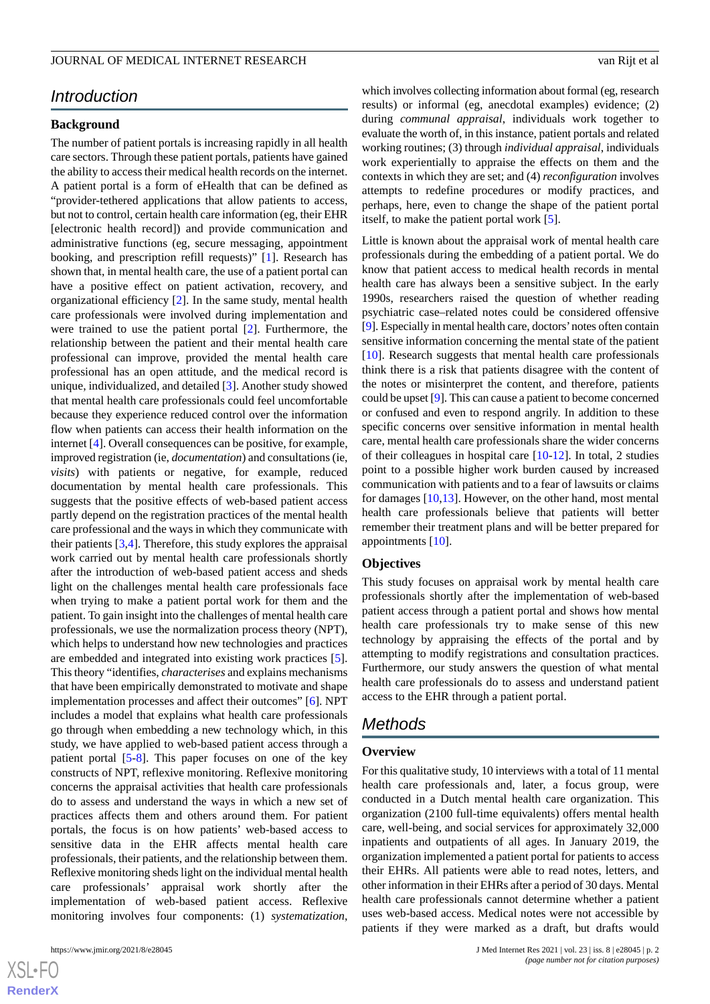# *Introduction*

# **Background**

The number of patient portals is increasing rapidly in all health care sectors. Through these patient portals, patients have gained the ability to access their medical health records on the internet. A patient portal is a form of eHealth that can be defined as "provider-tethered applications that allow patients to access, but not to control, certain health care information (eg, their EHR [electronic health record]) and provide communication and administrative functions (eg, secure messaging, appointment booking, and prescription refill requests)" [[1\]](#page-10-0). Research has shown that, in mental health care, the use of a patient portal can have a positive effect on patient activation, recovery, and organizational efficiency [[2\]](#page-10-1). In the same study, mental health care professionals were involved during implementation and were trained to use the patient portal [\[2](#page-10-1)]. Furthermore, the relationship between the patient and their mental health care professional can improve, provided the mental health care professional has an open attitude, and the medical record is unique, individualized, and detailed [[3\]](#page-10-2). Another study showed that mental health care professionals could feel uncomfortable because they experience reduced control over the information flow when patients can access their health information on the internet [\[4](#page-10-3)]. Overall consequences can be positive, for example, improved registration (ie, *documentation*) and consultations (ie, *visits*) with patients or negative, for example, reduced documentation by mental health care professionals. This suggests that the positive effects of web-based patient access partly depend on the registration practices of the mental health care professional and the ways in which they communicate with their patients  $[3,4]$  $[3,4]$  $[3,4]$  $[3,4]$ . Therefore, this study explores the appraisal work carried out by mental health care professionals shortly after the introduction of web-based patient access and sheds light on the challenges mental health care professionals face when trying to make a patient portal work for them and the patient. To gain insight into the challenges of mental health care professionals, we use the normalization process theory (NPT), which helps to understand how new technologies and practices are embedded and integrated into existing work practices [[5\]](#page-10-4). This theory "identifies, *characterises* and explains mechanisms that have been empirically demonstrated to motivate and shape implementation processes and affect their outcomes" [[6](#page-10-5)]. NPT includes a model that explains what health care professionals go through when embedding a new technology which, in this study, we have applied to web-based patient access through a patient portal [[5-](#page-10-4)[8](#page-10-6)]. This paper focuses on one of the key constructs of NPT, reflexive monitoring. Reflexive monitoring concerns the appraisal activities that health care professionals do to assess and understand the ways in which a new set of practices affects them and others around them. For patient portals, the focus is on how patients' web-based access to sensitive data in the EHR affects mental health care professionals, their patients, and the relationship between them. Reflexive monitoring sheds light on the individual mental health care professionals' appraisal work shortly after the implementation of web-based patient access. Reflexive monitoring involves four components: (1) *systematization*,

which involves collecting information about formal (eg, research results) or informal (eg, anecdotal examples) evidence; (2) during *communal appraisal*, individuals work together to evaluate the worth of, in this instance, patient portals and related working routines; (3) through *individual appraisal*, individuals work experientially to appraise the effects on them and the contexts in which they are set; and (4) *reconfiguration* involves attempts to redefine procedures or modify practices, and perhaps, here, even to change the shape of the patient portal itself, to make the patient portal work [[5](#page-10-4)].

Little is known about the appraisal work of mental health care professionals during the embedding of a patient portal. We do know that patient access to medical health records in mental health care has always been a sensitive subject. In the early 1990s, researchers raised the question of whether reading psychiatric case–related notes could be considered offensive [[9\]](#page-10-7). Especially in mental health care, doctors'notes often contain sensitive information concerning the mental state of the patient [[10\]](#page-10-8). Research suggests that mental health care professionals think there is a risk that patients disagree with the content of the notes or misinterpret the content, and therefore, patients could be upset [\[9](#page-10-7)]. This can cause a patient to become concerned or confused and even to respond angrily. In addition to these specific concerns over sensitive information in mental health care, mental health care professionals share the wider concerns of their colleagues in hospital care [\[10](#page-10-8)[-12](#page-10-9)]. In total, 2 studies point to a possible higher work burden caused by increased communication with patients and to a fear of lawsuits or claims for damages [\[10](#page-10-8),[13\]](#page-10-10). However, on the other hand, most mental health care professionals believe that patients will better remember their treatment plans and will be better prepared for appointments [\[10](#page-10-8)].

#### **Objectives**

This study focuses on appraisal work by mental health care professionals shortly after the implementation of web-based patient access through a patient portal and shows how mental health care professionals try to make sense of this new technology by appraising the effects of the portal and by attempting to modify registrations and consultation practices. Furthermore, our study answers the question of what mental health care professionals do to assess and understand patient access to the EHR through a patient portal.

# *Methods*

#### **Overview**

For this qualitative study, 10 interviews with a total of 11 mental health care professionals and, later, a focus group, were conducted in a Dutch mental health care organization. This organization (2100 full-time equivalents) offers mental health care, well-being, and social services for approximately 32,000 inpatients and outpatients of all ages. In January 2019, the organization implemented a patient portal for patients to access their EHRs. All patients were able to read notes, letters, and other information in their EHRs after a period of 30 days. Mental health care professionals cannot determine whether a patient uses web-based access. Medical notes were not accessible by patients if they were marked as a draft, but drafts would

```
XS\cdotFC
RenderX
```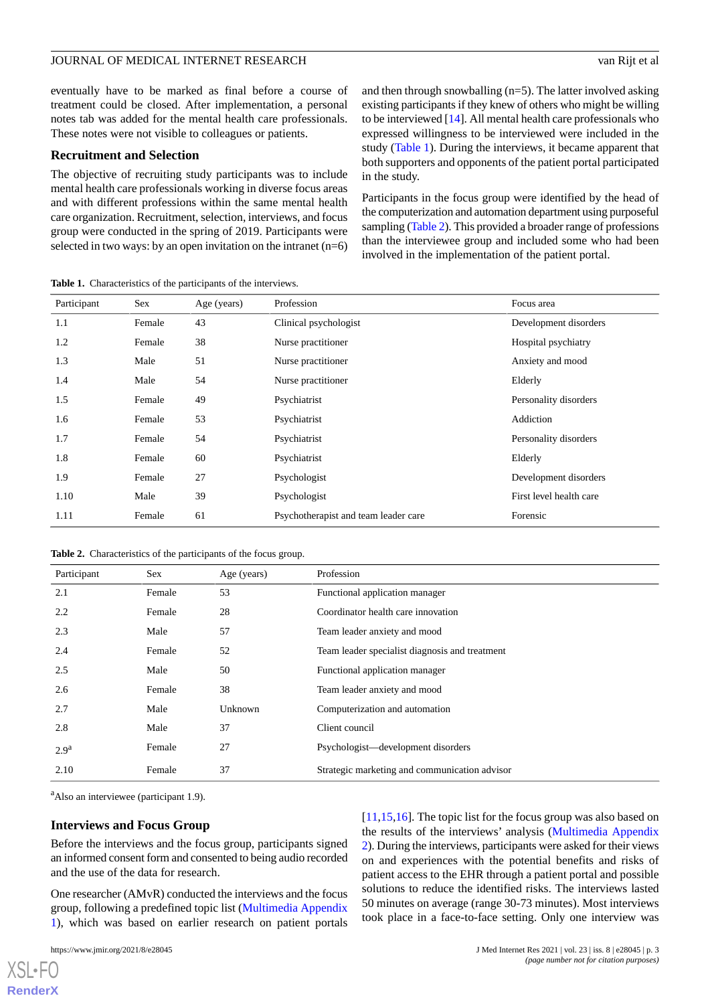eventually have to be marked as final before a course of treatment could be closed. After implementation, a personal notes tab was added for the mental health care professionals. These notes were not visible to colleagues or patients.

#### **Recruitment and Selection**

The objective of recruiting study participants was to include mental health care professionals working in diverse focus areas and with different professions within the same mental health care organization. Recruitment, selection, interviews, and focus group were conducted in the spring of 2019. Participants were selected in two ways: by an open invitation on the intranet  $(n=6)$ 

<span id="page-2-0"></span>**Table 1.** Characteristics of the participants of the interviews.

and then through snowballing (n=5). The latter involved asking existing participants if they knew of others who might be willing to be interviewed [\[14](#page-10-11)]. All mental health care professionals who expressed willingness to be interviewed were included in the study [\(Table 1](#page-2-0)). During the interviews, it became apparent that both supporters and opponents of the patient portal participated in the study.

Participants in the focus group were identified by the head of the computerization and automation department using purposeful sampling ([Table 2](#page-2-1)). This provided a broader range of professions than the interviewee group and included some who had been involved in the implementation of the patient portal.

| Participant | Sex    | Age (years) | Profession                                       | Focus area            |
|-------------|--------|-------------|--------------------------------------------------|-----------------------|
| 1.1         | Female | 43          | Clinical psychologist                            | Development disorders |
| 1.2         | Female | 38          | Nurse practitioner                               | Hospital psychiatry   |
| 1.3         | Male   | 51          | Nurse practitioner                               | Anxiety and mood      |
| 1.4         | Male   | 54          | Nurse practitioner                               | Elderly               |
| 1.5         | Female | 49          | Psychiatrist                                     | Personality disorders |
| 1.6         | Female | 53          | Psychiatrist                                     | Addiction             |
| 1.7         | Female | 54          | Psychiatrist                                     | Personality disorders |
| 1.8         | Female | 60          | Psychiatrist                                     | Elderly               |
| 1.9         | Female | 27          | Psychologist                                     | Development disorders |
| 1.10        | Male   | 39          | First level health care<br>Psychologist          |                       |
| 1.11        | Female | 61          | Psychotherapist and team leader care<br>Forensic |                       |

<span id="page-2-1"></span>**Table 2.** Characteristics of the participants of the focus group.

| Participant      | <b>Sex</b> | Age (years) | Profession                                     |
|------------------|------------|-------------|------------------------------------------------|
| 2.1              | Female     | 53          | Functional application manager                 |
| 2.2              | Female     | 28          | Coordinator health care innovation             |
| 2.3              | Male       | 57          | Team leader anxiety and mood                   |
| 2.4              | Female     | 52          | Team leader specialist diagnosis and treatment |
| 2.5              | Male       | 50          | Functional application manager                 |
| 2.6              | Female     | 38          | Team leader anxiety and mood                   |
| 2.7              | Male       | Unknown     | Computerization and automation                 |
| 2.8              | Male       | 37          | Client council                                 |
| 2.9 <sup>a</sup> | Female     | 27          | Psychologist—development disorders             |
| 2.10             | Female     | 37          | Strategic marketing and communication advisor  |

<sup>a</sup>Also an interviewee (participant 1.9).

#### **Interviews and Focus Group**

Before the interviews and the focus group, participants signed an informed consent form and consented to being audio recorded and the use of the data for research.

One researcher (AMvR) conducted the interviews and the focus group, following a predefined topic list [\(Multimedia Appendix](#page-9-0) [1\)](#page-9-0), which was based on earlier research on patient portals

[XSL](http://www.w3.org/Style/XSL)•FO **[RenderX](http://www.renderx.com/)**

[[11,](#page-10-12)[15,](#page-10-13)[16\]](#page-10-14). The topic list for the focus group was also based on the results of the interviews' analysis [\(Multimedia Appendix](#page-9-1) [2](#page-9-1)). During the interviews, participants were asked for their views on and experiences with the potential benefits and risks of patient access to the EHR through a patient portal and possible solutions to reduce the identified risks. The interviews lasted 50 minutes on average (range 30-73 minutes). Most interviews took place in a face-to-face setting. Only one interview was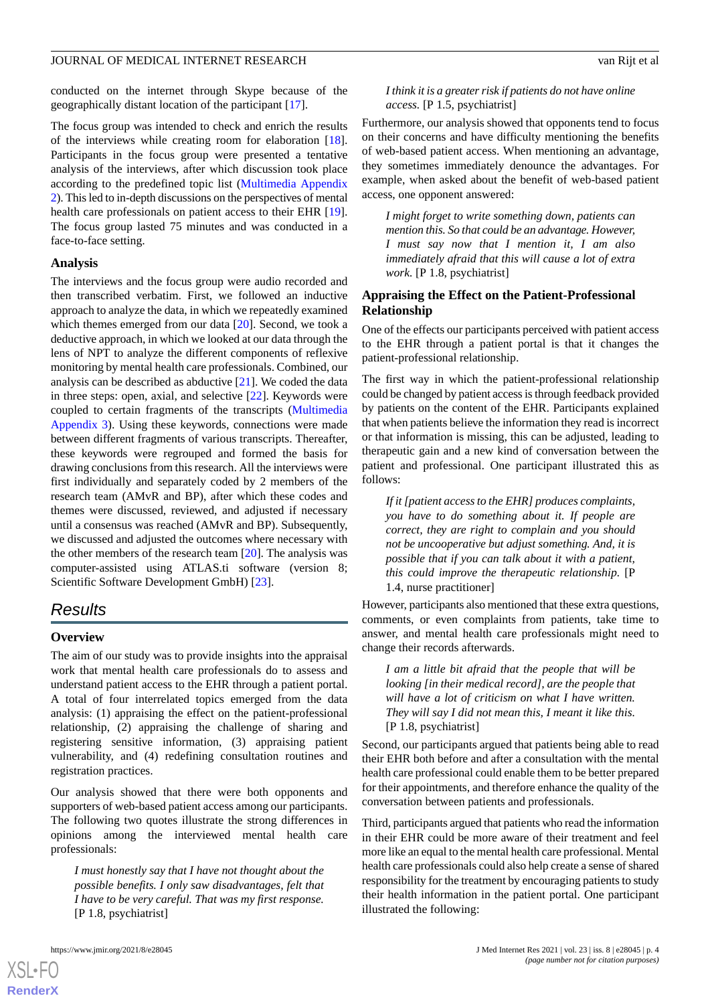conducted on the internet through Skype because of the geographically distant location of the participant [\[17](#page-10-15)].

The focus group was intended to check and enrich the results of the interviews while creating room for elaboration [[18\]](#page-10-16). Participants in the focus group were presented a tentative analysis of the interviews, after which discussion took place according to the predefined topic list ([Multimedia Appendix](#page-9-1) [2](#page-9-1)). This led to in-depth discussions on the perspectives of mental health care professionals on patient access to their EHR [[19\]](#page-10-17). The focus group lasted 75 minutes and was conducted in a face-to-face setting.

#### **Analysis**

The interviews and the focus group were audio recorded and then transcribed verbatim. First, we followed an inductive approach to analyze the data, in which we repeatedly examined which themes emerged from our data [[20\]](#page-10-18). Second, we took a deductive approach, in which we looked at our data through the lens of NPT to analyze the different components of reflexive monitoring by mental health care professionals. Combined, our analysis can be described as abductive [[21\]](#page-10-19). We coded the data in three steps: open, axial, and selective [[22\]](#page-10-20). Keywords were coupled to certain fragments of the transcripts ([Multimedia](#page-9-2) [Appendix 3](#page-9-2)). Using these keywords, connections were made between different fragments of various transcripts. Thereafter, these keywords were regrouped and formed the basis for drawing conclusions from this research. All the interviews were first individually and separately coded by 2 members of the research team (AMvR and BP), after which these codes and themes were discussed, reviewed, and adjusted if necessary until a consensus was reached (AMvR and BP). Subsequently, we discussed and adjusted the outcomes where necessary with the other members of the research team [\[20](#page-10-18)]. The analysis was computer-assisted using ATLAS.ti software (version 8; Scientific Software Development GmbH) [\[23](#page-10-21)].

# *Results*

#### **Overview**

The aim of our study was to provide insights into the appraisal work that mental health care professionals do to assess and understand patient access to the EHR through a patient portal. A total of four interrelated topics emerged from the data analysis: (1) appraising the effect on the patient-professional relationship, (2) appraising the challenge of sharing and registering sensitive information, (3) appraising patient vulnerability, and (4) redefining consultation routines and registration practices.

Our analysis showed that there were both opponents and supporters of web-based patient access among our participants. The following two quotes illustrate the strong differences in opinions among the interviewed mental health care professionals:

*I must honestly say that I have not thought about the possible benefits. I only saw disadvantages, felt that I have to be very careful. That was my first response.* [P 1.8, psychiatrist]

[XSL](http://www.w3.org/Style/XSL)•FO **[RenderX](http://www.renderx.com/)**

#### *I think it is a greater risk if patients do not have online access.* [P 1.5, psychiatrist]

Furthermore, our analysis showed that opponents tend to focus on their concerns and have difficulty mentioning the benefits of web-based patient access. When mentioning an advantage, they sometimes immediately denounce the advantages. For example, when asked about the benefit of web-based patient access, one opponent answered:

*I might forget to write something down, patients can mention this. So that could be an advantage. However, I must say now that I mention it, I am also immediately afraid that this will cause a lot of extra work.* [P 1.8, psychiatrist]

# **Appraising the Effect on the Patient-Professional Relationship**

One of the effects our participants perceived with patient access to the EHR through a patient portal is that it changes the patient-professional relationship.

The first way in which the patient-professional relationship could be changed by patient access is through feedback provided by patients on the content of the EHR. Participants explained that when patients believe the information they read is incorrect or that information is missing, this can be adjusted, leading to therapeutic gain and a new kind of conversation between the patient and professional. One participant illustrated this as follows:

*If it [patient access to the EHR] produces complaints, you have to do something about it. If people are correct, they are right to complain and you should not be uncooperative but adjust something. And, it is possible that if you can talk about it with a patient, this could improve the therapeutic relationship.* [P 1.4, nurse practitioner]

However, participants also mentioned that these extra questions, comments, or even complaints from patients, take time to answer, and mental health care professionals might need to change their records afterwards.

*I am a little bit afraid that the people that will be looking [in their medical record], are the people that will have a lot of criticism on what I have written. They will say I did not mean this, I meant it like this.* [P 1.8, psychiatrist]

Second, our participants argued that patients being able to read their EHR both before and after a consultation with the mental health care professional could enable them to be better prepared for their appointments, and therefore enhance the quality of the conversation between patients and professionals.

Third, participants argued that patients who read the information in their EHR could be more aware of their treatment and feel more like an equal to the mental health care professional. Mental health care professionals could also help create a sense of shared responsibility for the treatment by encouraging patients to study their health information in the patient portal. One participant illustrated the following: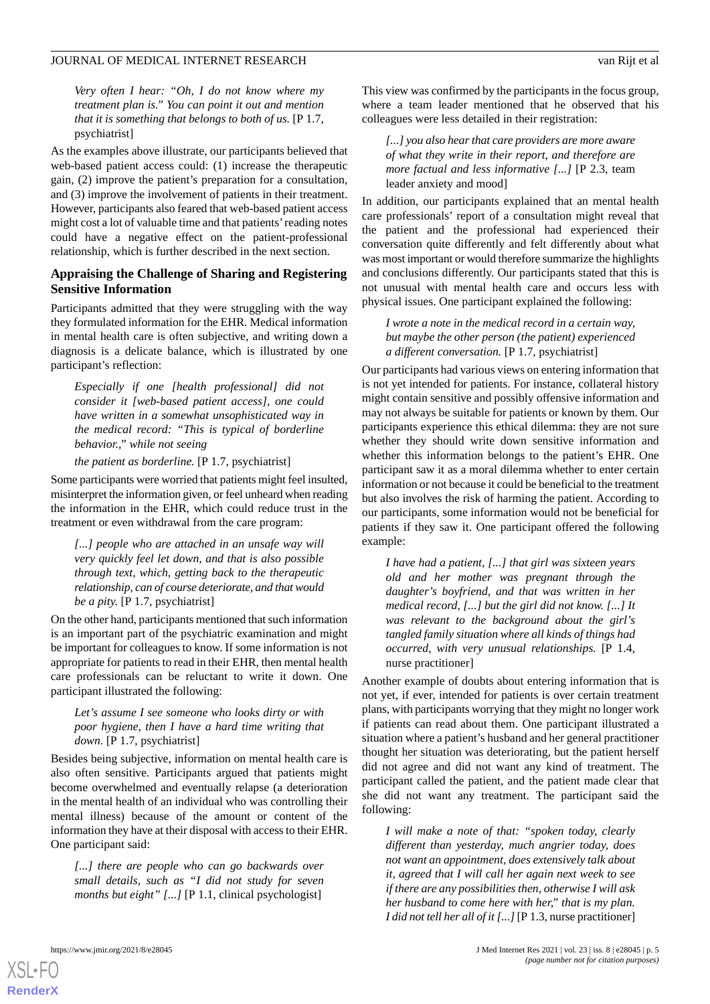*Very often I hear: "Oh, I do not know where my treatment plan is." You can point it out and mention that it is something that belongs to both of us.* [P 1.7, psychiatrist]

As the examples above illustrate, our participants believed that web-based patient access could: (1) increase the therapeutic gain, (2) improve the patient's preparation for a consultation, and (3) improve the involvement of patients in their treatment. However, participants also feared that web-based patient access might cost a lot of valuable time and that patients'reading notes could have a negative effect on the patient-professional relationship, which is further described in the next section.

#### **Appraising the Challenge of Sharing and Registering Sensitive Information**

Participants admitted that they were struggling with the way they formulated information for the EHR. Medical information in mental health care is often subjective, and writing down a diagnosis is a delicate balance, which is illustrated by one participant's reflection:

*Especially if one [health professional] did not consider it [web-based patient access], one could have written in a somewhat unsophisticated way in the medical record: "This is typical of borderline behavior.," while not seeing*

*the patient as borderline.* [P 1.7, psychiatrist]

Some participants were worried that patients might feel insulted, misinterpret the information given, or feel unheard when reading the information in the EHR, which could reduce trust in the treatment or even withdrawal from the care program:

*[...] people who are attached in an unsafe way will very quickly feel let down, and that is also possible through text, which, getting back to the therapeutic relationship, can of course deteriorate, and that would be a pity.* [P 1.7, psychiatrist]

On the other hand, participants mentioned that such information is an important part of the psychiatric examination and might be important for colleagues to know. If some information is not appropriate for patients to read in their EHR, then mental health care professionals can be reluctant to write it down. One participant illustrated the following:

*Let's assume I see someone who looks dirty or with poor hygiene, then I have a hard time writing that down.* [P 1.7, psychiatrist]

Besides being subjective, information on mental health care is also often sensitive. Participants argued that patients might become overwhelmed and eventually relapse (a deterioration in the mental health of an individual who was controlling their mental illness) because of the amount or content of the information they have at their disposal with access to their EHR. One participant said:

*[...] there are people who can go backwards over small details, such as "I did not study for seven months but eight" [...]* [P 1.1, clinical psychologist]

This view was confirmed by the participants in the focus group, where a team leader mentioned that he observed that his colleagues were less detailed in their registration:

*[...] you also hear that care providers are more aware of what they write in their report, and therefore are more factual and less informative [...]* [P 2.3, team leader anxiety and mood]

In addition, our participants explained that an mental health care professionals' report of a consultation might reveal that the patient and the professional had experienced their conversation quite differently and felt differently about what was most important or would therefore summarize the highlights and conclusions differently. Our participants stated that this is not unusual with mental health care and occurs less with physical issues. One participant explained the following:

*I wrote a note in the medical record in a certain way, but maybe the other person (the patient) experienced a different conversation.* [P 1.7, psychiatrist]

Our participants had various views on entering information that is not yet intended for patients. For instance, collateral history might contain sensitive and possibly offensive information and may not always be suitable for patients or known by them. Our participants experience this ethical dilemma: they are not sure whether they should write down sensitive information and whether this information belongs to the patient's EHR. One participant saw it as a moral dilemma whether to enter certain information or not because it could be beneficial to the treatment but also involves the risk of harming the patient. According to our participants, some information would not be beneficial for patients if they saw it. One participant offered the following example:

*I have had a patient, [...] that girl was sixteen years old and her mother was pregnant through the daughter's boyfriend, and that was written in her medical record, [...] but the girl did not know. [...] It was relevant to the background about the girl's tangled family situation where all kinds of things had occurred, with very unusual relationships.* [P 1.4, nurse practitioner]

Another example of doubts about entering information that is not yet, if ever, intended for patients is over certain treatment plans, with participants worrying that they might no longer work if patients can read about them. One participant illustrated a situation where a patient's husband and her general practitioner thought her situation was deteriorating, but the patient herself did not agree and did not want any kind of treatment. The participant called the patient, and the patient made clear that she did not want any treatment. The participant said the following:

*I will make a note of that: "spoken today, clearly different than yesterday, much angrier today, does not want an appointment, does extensively talk about it, agreed that I will call her again next week to see if there are any possibilities then, otherwise I will ask her husband to come here with her," that is my plan. I did not tell her all of it [...]*[P 1.3, nurse practitioner]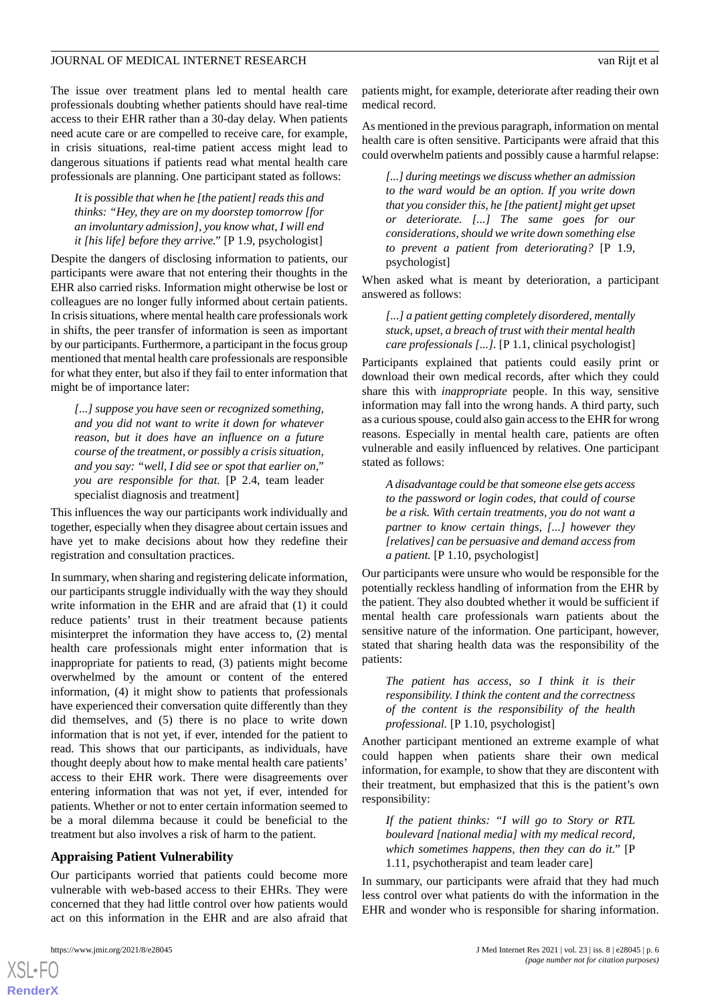The issue over treatment plans led to mental health care professionals doubting whether patients should have real-time access to their EHR rather than a 30-day delay. When patients need acute care or are compelled to receive care, for example, in crisis situations, real-time patient access might lead to dangerous situations if patients read what mental health care professionals are planning. One participant stated as follows:

## *It is possible that when he [the patient] reads this and thinks: "Hey, they are on my doorstep tomorrow [for an involuntary admission], you know what, I will end it [his life] before they arrive."* [P 1.9, psychologist]

Despite the dangers of disclosing information to patients, our participants were aware that not entering their thoughts in the EHR also carried risks. Information might otherwise be lost or colleagues are no longer fully informed about certain patients. In crisis situations, where mental health care professionals work in shifts, the peer transfer of information is seen as important by our participants. Furthermore, a participant in the focus group mentioned that mental health care professionals are responsible for what they enter, but also if they fail to enter information that might be of importance later:

*[...] suppose you have seen or recognized something, and you did not want to write it down for whatever reason, but it does have an influence on a future course of the treatment, or possibly a crisis situation, and you say: "well, I did see or spot that earlier on," you are responsible for that.* [P 2.4, team leader specialist diagnosis and treatment]

This influences the way our participants work individually and together, especially when they disagree about certain issues and have yet to make decisions about how they redefine their registration and consultation practices.

In summary, when sharing and registering delicate information, our participants struggle individually with the way they should write information in the EHR and are afraid that (1) it could reduce patients' trust in their treatment because patients misinterpret the information they have access to, (2) mental health care professionals might enter information that is inappropriate for patients to read, (3) patients might become overwhelmed by the amount or content of the entered information, (4) it might show to patients that professionals have experienced their conversation quite differently than they did themselves, and (5) there is no place to write down information that is not yet, if ever, intended for the patient to read. This shows that our participants, as individuals, have thought deeply about how to make mental health care patients' access to their EHR work. There were disagreements over entering information that was not yet, if ever, intended for patients. Whether or not to enter certain information seemed to be a moral dilemma because it could be beneficial to the treatment but also involves a risk of harm to the patient.

## **Appraising Patient Vulnerability**

Our participants worried that patients could become more vulnerable with web-based access to their EHRs. They were concerned that they had little control over how patients would act on this information in the EHR and are also afraid that

[XSL](http://www.w3.org/Style/XSL)•FO **[RenderX](http://www.renderx.com/)**

patients might, for example, deteriorate after reading their own medical record.

As mentioned in the previous paragraph, information on mental health care is often sensitive. Participants were afraid that this could overwhelm patients and possibly cause a harmful relapse:

*[...] during meetings we discuss whether an admission to the ward would be an option. If you write down that you consider this, he [the patient] might get upset or deteriorate. [...] The same goes for our considerations, should we write down something else to prevent a patient from deteriorating?* [P 1.9, psychologist]

When asked what is meant by deterioration, a participant answered as follows:

*[...] a patient getting completely disordered, mentally stuck, upset, a breach of trust with their mental health care professionals [...].* [P 1.1, clinical psychologist]

Participants explained that patients could easily print or download their own medical records, after which they could share this with *inappropriate* people. In this way, sensitive information may fall into the wrong hands. A third party, such as a curious spouse, could also gain access to the EHR for wrong reasons. Especially in mental health care, patients are often vulnerable and easily influenced by relatives. One participant stated as follows:

*A disadvantage could be that someone else gets access to the password or login codes, that could of course be a risk. With certain treatments, you do not want a partner to know certain things, [...] however they [relatives] can be persuasive and demand access from a patient.* [P 1.10, psychologist]

Our participants were unsure who would be responsible for the potentially reckless handling of information from the EHR by the patient. They also doubted whether it would be sufficient if mental health care professionals warn patients about the sensitive nature of the information. One participant, however, stated that sharing health data was the responsibility of the patients:

*The patient has access, so I think it is their responsibility. I think the content and the correctness of the content is the responsibility of the health professional.* [P 1.10, psychologist]

Another participant mentioned an extreme example of what could happen when patients share their own medical information, for example, to show that they are discontent with their treatment, but emphasized that this is the patient's own responsibility:

*If the patient thinks: "I will go to Story or RTL boulevard [national media] with my medical record, which sometimes happens, then they can do it."* [P 1.11, psychotherapist and team leader care]

In summary, our participants were afraid that they had much less control over what patients do with the information in the EHR and wonder who is responsible for sharing information.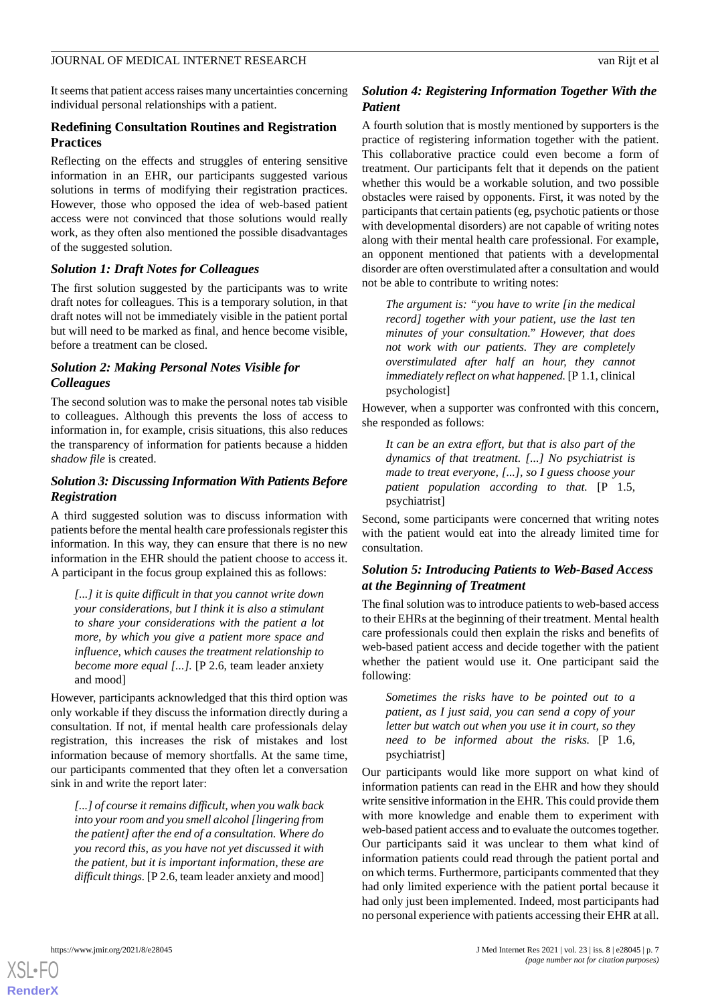It seems that patient access raises many uncertainties concerning individual personal relationships with a patient.

# **Redefining Consultation Routines and Registration Practices**

Reflecting on the effects and struggles of entering sensitive information in an EHR, our participants suggested various solutions in terms of modifying their registration practices. However, those who opposed the idea of web-based patient access were not convinced that those solutions would really work, as they often also mentioned the possible disadvantages of the suggested solution.

# *Solution 1: Draft Notes for Colleagues*

The first solution suggested by the participants was to write draft notes for colleagues. This is a temporary solution, in that draft notes will not be immediately visible in the patient portal but will need to be marked as final, and hence become visible, before a treatment can be closed.

# *Solution 2: Making Personal Notes Visible for Colleagues*

The second solution was to make the personal notes tab visible to colleagues. Although this prevents the loss of access to information in, for example, crisis situations, this also reduces the transparency of information for patients because a hidden *shadow file* is created.

# *Solution 3: Discussing Information With Patients Before Registration*

A third suggested solution was to discuss information with patients before the mental health care professionals register this information. In this way, they can ensure that there is no new information in the EHR should the patient choose to access it. A participant in the focus group explained this as follows:

*[...] it is quite difficult in that you cannot write down your considerations, but I think it is also a stimulant to share your considerations with the patient a lot more, by which you give a patient more space and influence, which causes the treatment relationship to become more equal [...].* [P 2.6, team leader anxiety and mood]

However, participants acknowledged that this third option was only workable if they discuss the information directly during a consultation. If not, if mental health care professionals delay registration, this increases the risk of mistakes and lost information because of memory shortfalls. At the same time, our participants commented that they often let a conversation sink in and write the report later:

*[...] of course it remains difficult, when you walk back into your room and you smell alcohol [lingering from the patient] after the end of a consultation. Where do you record this, as you have not yet discussed it with the patient, but it is important information, these are difficult things.* [P 2.6, team leader anxiety and mood]

# *Solution 4: Registering Information Together With the Patient*

A fourth solution that is mostly mentioned by supporters is the practice of registering information together with the patient. This collaborative practice could even become a form of treatment. Our participants felt that it depends on the patient whether this would be a workable solution, and two possible obstacles were raised by opponents. First, it was noted by the participants that certain patients (eg, psychotic patients or those with developmental disorders) are not capable of writing notes along with their mental health care professional. For example, an opponent mentioned that patients with a developmental disorder are often overstimulated after a consultation and would not be able to contribute to writing notes:

*The argument is: "you have to write [in the medical record] together with your patient, use the last ten minutes of your consultation." However, that does not work with our patients. They are completely overstimulated after half an hour, they cannot immediately reflect on what happened.* [P 1.1, clinical psychologist]

However, when a supporter was confronted with this concern, she responded as follows:

*It can be an extra effort, but that is also part of the dynamics of that treatment. [...] No psychiatrist is made to treat everyone, [...], so I guess choose your patient population according to that.* [P 1.5, psychiatrist]

Second, some participants were concerned that writing notes with the patient would eat into the already limited time for consultation.

# *Solution 5: Introducing Patients to Web-Based Access at the Beginning of Treatment*

The final solution was to introduce patients to web-based access to their EHRs at the beginning of their treatment. Mental health care professionals could then explain the risks and benefits of web-based patient access and decide together with the patient whether the patient would use it. One participant said the following:

*Sometimes the risks have to be pointed out to a patient, as I just said, you can send a copy of your letter but watch out when you use it in court, so they need to be informed about the risks.* [P 1.6, psychiatrist]

Our participants would like more support on what kind of information patients can read in the EHR and how they should write sensitive information in the EHR. This could provide them with more knowledge and enable them to experiment with web-based patient access and to evaluate the outcomes together. Our participants said it was unclear to them what kind of information patients could read through the patient portal and on which terms. Furthermore, participants commented that they had only limited experience with the patient portal because it had only just been implemented. Indeed, most participants had no personal experience with patients accessing their EHR at all.

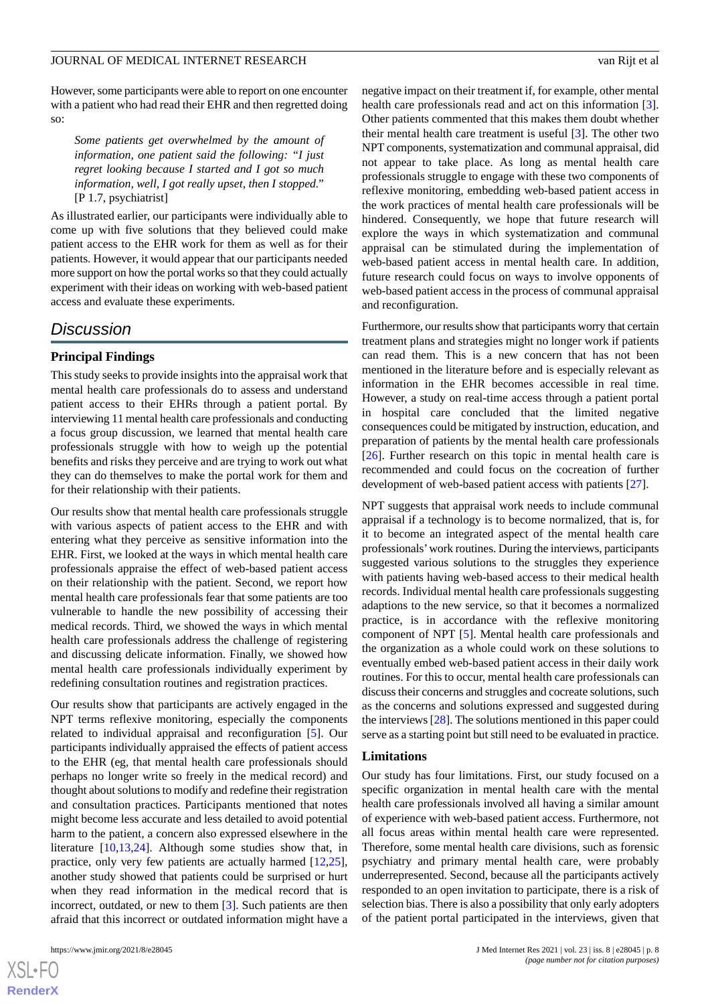However, some participants were able to report on one encounter with a patient who had read their EHR and then regretted doing so:

*Some patients get overwhelmed by the amount of information, one patient said the following: "I just regret looking because I started and I got so much information, well, I got really upset, then I stopped."* [P 1.7, psychiatrist]

As illustrated earlier, our participants were individually able to come up with five solutions that they believed could make patient access to the EHR work for them as well as for their patients. However, it would appear that our participants needed more support on how the portal works so that they could actually experiment with their ideas on working with web-based patient access and evaluate these experiments.

# *Discussion*

## **Principal Findings**

This study seeks to provide insights into the appraisal work that mental health care professionals do to assess and understand patient access to their EHRs through a patient portal. By interviewing 11 mental health care professionals and conducting a focus group discussion, we learned that mental health care professionals struggle with how to weigh up the potential benefits and risks they perceive and are trying to work out what they can do themselves to make the portal work for them and for their relationship with their patients.

Our results show that mental health care professionals struggle with various aspects of patient access to the EHR and with entering what they perceive as sensitive information into the EHR. First, we looked at the ways in which mental health care professionals appraise the effect of web-based patient access on their relationship with the patient. Second, we report how mental health care professionals fear that some patients are too vulnerable to handle the new possibility of accessing their medical records. Third, we showed the ways in which mental health care professionals address the challenge of registering and discussing delicate information. Finally, we showed how mental health care professionals individually experiment by redefining consultation routines and registration practices.

Our results show that participants are actively engaged in the NPT terms reflexive monitoring, especially the components related to individual appraisal and reconfiguration [[5\]](#page-10-4). Our participants individually appraised the effects of patient access to the EHR (eg, that mental health care professionals should perhaps no longer write so freely in the medical record) and thought about solutions to modify and redefine their registration and consultation practices. Participants mentioned that notes might become less accurate and less detailed to avoid potential harm to the patient, a concern also expressed elsewhere in the literature [\[10](#page-10-8),[13,](#page-10-10)[24](#page-10-22)]. Although some studies show that, in practice, only very few patients are actually harmed [\[12](#page-10-9),[25\]](#page-10-23), another study showed that patients could be surprised or hurt when they read information in the medical record that is incorrect, outdated, or new to them [[3](#page-10-2)]. Such patients are then afraid that this incorrect or outdated information might have a

 $XS$  $\cdot$ FC **[RenderX](http://www.renderx.com/)**

negative impact on their treatment if, for example, other mental health care professionals read and act on this information [[3\]](#page-10-2). Other patients commented that this makes them doubt whether their mental health care treatment is useful [\[3](#page-10-2)]. The other two NPT components, systematization and communal appraisal, did not appear to take place. As long as mental health care professionals struggle to engage with these two components of reflexive monitoring, embedding web-based patient access in the work practices of mental health care professionals will be hindered. Consequently, we hope that future research will explore the ways in which systematization and communal appraisal can be stimulated during the implementation of web-based patient access in mental health care. In addition, future research could focus on ways to involve opponents of web-based patient access in the process of communal appraisal and reconfiguration.

Furthermore, our results show that participants worry that certain treatment plans and strategies might no longer work if patients can read them. This is a new concern that has not been mentioned in the literature before and is especially relevant as information in the EHR becomes accessible in real time. However, a study on real-time access through a patient portal in hospital care concluded that the limited negative consequences could be mitigated by instruction, education, and preparation of patients by the mental health care professionals [[26\]](#page-10-24). Further research on this topic in mental health care is recommended and could focus on the cocreation of further development of web-based patient access with patients [\[27](#page-11-0)].

NPT suggests that appraisal work needs to include communal appraisal if a technology is to become normalized, that is, for it to become an integrated aspect of the mental health care professionals'work routines. During the interviews, participants suggested various solutions to the struggles they experience with patients having web-based access to their medical health records. Individual mental health care professionals suggesting adaptions to the new service, so that it becomes a normalized practice, is in accordance with the reflexive monitoring component of NPT [[5\]](#page-10-4). Mental health care professionals and the organization as a whole could work on these solutions to eventually embed web-based patient access in their daily work routines. For this to occur, mental health care professionals can discuss their concerns and struggles and cocreate solutions, such as the concerns and solutions expressed and suggested during the interviews [\[28\]](#page-11-1). The solutions mentioned in this paper could serve as a starting point but still need to be evaluated in practice.

#### **Limitations**

Our study has four limitations. First, our study focused on a specific organization in mental health care with the mental health care professionals involved all having a similar amount of experience with web-based patient access. Furthermore, not all focus areas within mental health care were represented. Therefore, some mental health care divisions, such as forensic psychiatry and primary mental health care, were probably underrepresented. Second, because all the participants actively responded to an open invitation to participate, there is a risk of selection bias. There is also a possibility that only early adopters of the patient portal participated in the interviews, given that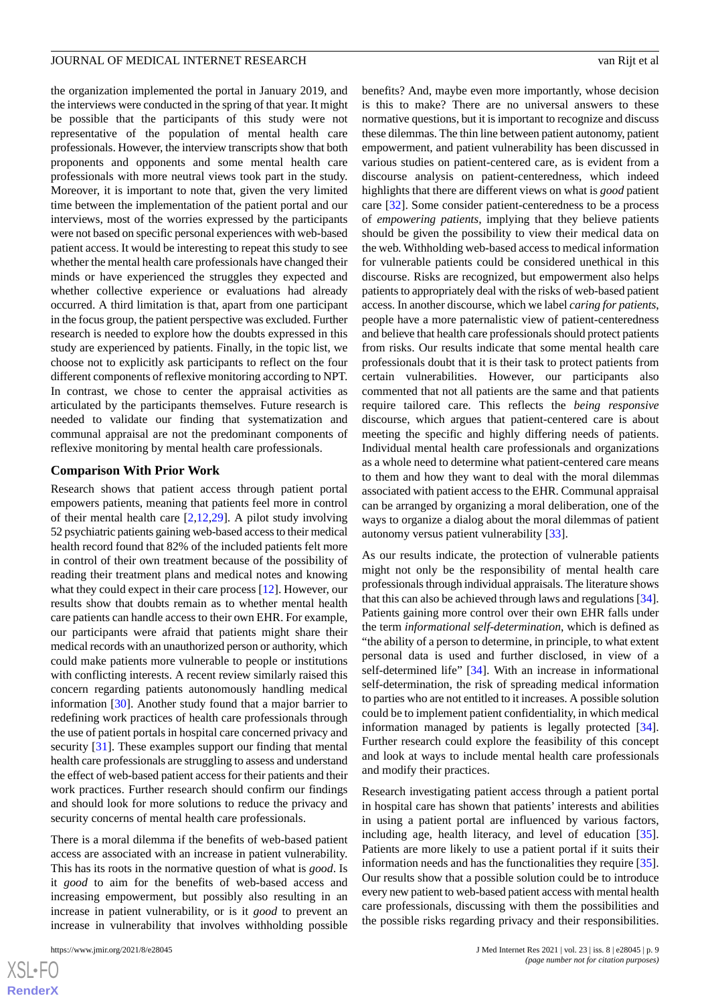the organization implemented the portal in January 2019, and the interviews were conducted in the spring of that year. It might be possible that the participants of this study were not representative of the population of mental health care professionals. However, the interview transcripts show that both proponents and opponents and some mental health care professionals with more neutral views took part in the study. Moreover, it is important to note that, given the very limited time between the implementation of the patient portal and our interviews, most of the worries expressed by the participants were not based on specific personal experiences with web-based patient access. It would be interesting to repeat this study to see whether the mental health care professionals have changed their minds or have experienced the struggles they expected and whether collective experience or evaluations had already occurred. A third limitation is that, apart from one participant in the focus group, the patient perspective was excluded. Further research is needed to explore how the doubts expressed in this study are experienced by patients. Finally, in the topic list, we choose not to explicitly ask participants to reflect on the four different components of reflexive monitoring according to NPT. In contrast, we chose to center the appraisal activities as articulated by the participants themselves. Future research is needed to validate our finding that systematization and communal appraisal are not the predominant components of reflexive monitoring by mental health care professionals.

# **Comparison With Prior Work**

Research shows that patient access through patient portal empowers patients, meaning that patients feel more in control of their mental health care  $[2,12,29]$  $[2,12,29]$  $[2,12,29]$  $[2,12,29]$  $[2,12,29]$ . A pilot study involving 52 psychiatric patients gaining web-based access to their medical health record found that 82% of the included patients felt more in control of their own treatment because of the possibility of reading their treatment plans and medical notes and knowing what they could expect in their care process [\[12](#page-10-9)]. However, our results show that doubts remain as to whether mental health care patients can handle access to their own EHR. For example, our participants were afraid that patients might share their medical records with an unauthorized person or authority, which could make patients more vulnerable to people or institutions with conflicting interests. A recent review similarly raised this concern regarding patients autonomously handling medical information [\[30](#page-11-3)]. Another study found that a major barrier to redefining work practices of health care professionals through the use of patient portals in hospital care concerned privacy and security [\[31](#page-11-4)]. These examples support our finding that mental health care professionals are struggling to assess and understand the effect of web-based patient access for their patients and their work practices. Further research should confirm our findings and should look for more solutions to reduce the privacy and security concerns of mental health care professionals.

There is a moral dilemma if the benefits of web-based patient access are associated with an increase in patient vulnerability. This has its roots in the normative question of what is *good*. Is it *good* to aim for the benefits of web-based access and increasing empowerment, but possibly also resulting in an increase in patient vulnerability, or is it *good* to prevent an increase in vulnerability that involves withholding possible

benefits? And, maybe even more importantly, whose decision is this to make? There are no universal answers to these normative questions, but it is important to recognize and discuss these dilemmas. The thin line between patient autonomy, patient empowerment, and patient vulnerability has been discussed in various studies on patient-centered care, as is evident from a discourse analysis on patient-centeredness, which indeed highlights that there are different views on what is *good* patient care [\[32](#page-11-5)]. Some consider patient-centeredness to be a process of *empowering patients*, implying that they believe patients should be given the possibility to view their medical data on the web. Withholding web-based access to medical information for vulnerable patients could be considered unethical in this discourse. Risks are recognized, but empowerment also helps patients to appropriately deal with the risks of web-based patient access. In another discourse, which we label *caring for patients*, people have a more paternalistic view of patient-centeredness and believe that health care professionals should protect patients from risks. Our results indicate that some mental health care professionals doubt that it is their task to protect patients from certain vulnerabilities. However, our participants also commented that not all patients are the same and that patients require tailored care. This reflects the *being responsive* discourse, which argues that patient-centered care is about meeting the specific and highly differing needs of patients. Individual mental health care professionals and organizations as a whole need to determine what patient-centered care means to them and how they want to deal with the moral dilemmas associated with patient access to the EHR. Communal appraisal can be arranged by organizing a moral deliberation, one of the ways to organize a dialog about the moral dilemmas of patient autonomy versus patient vulnerability [[33\]](#page-11-6).

As our results indicate, the protection of vulnerable patients might not only be the responsibility of mental health care professionals through individual appraisals. The literature shows that this can also be achieved through laws and regulations [\[34](#page-11-7)]. Patients gaining more control over their own EHR falls under the term *informational self-determination*, which is defined as "the ability of a person to determine, in principle, to what extent personal data is used and further disclosed, in view of a self-determined life" [[34\]](#page-11-7). With an increase in informational self-determination, the risk of spreading medical information to parties who are not entitled to it increases. A possible solution could be to implement patient confidentiality, in which medical information managed by patients is legally protected [[34\]](#page-11-7). Further research could explore the feasibility of this concept and look at ways to include mental health care professionals and modify their practices.

Research investigating patient access through a patient portal in hospital care has shown that patients' interests and abilities in using a patient portal are influenced by various factors, including age, health literacy, and level of education [[35\]](#page-11-8). Patients are more likely to use a patient portal if it suits their information needs and has the functionalities they require [[35\]](#page-11-8). Our results show that a possible solution could be to introduce every new patient to web-based patient access with mental health care professionals, discussing with them the possibilities and the possible risks regarding privacy and their responsibilities.

```
XSL•FO
RenderX
```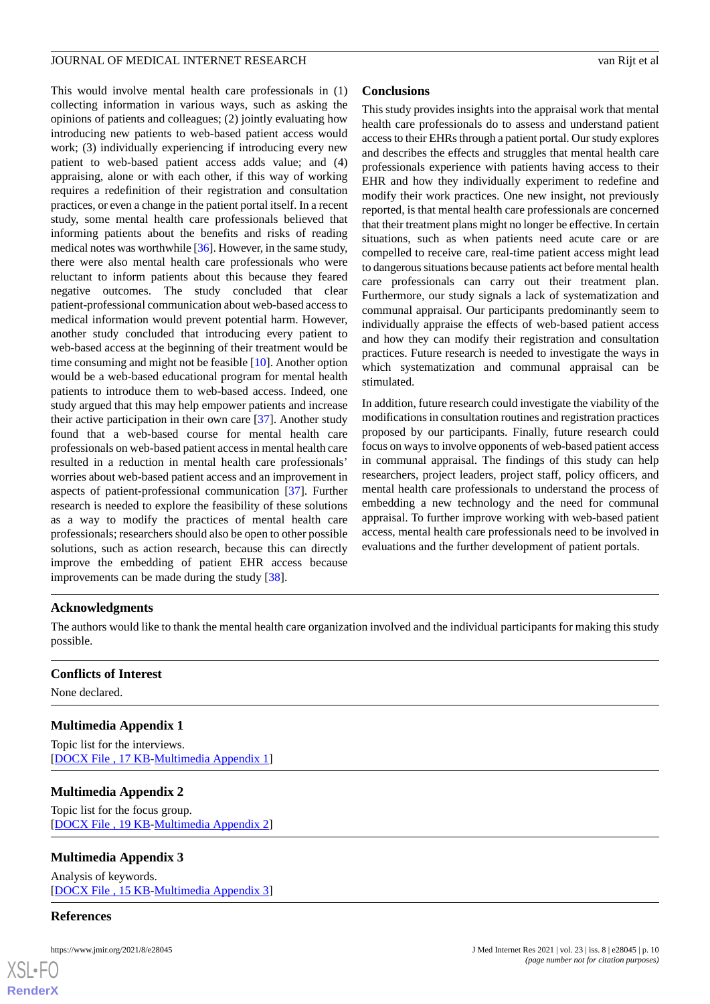This would involve mental health care professionals in (1) collecting information in various ways, such as asking the opinions of patients and colleagues; (2) jointly evaluating how introducing new patients to web-based patient access would work; (3) individually experiencing if introducing every new patient to web-based patient access adds value; and (4) appraising, alone or with each other, if this way of working requires a redefinition of their registration and consultation practices, or even a change in the patient portal itself. In a recent study, some mental health care professionals believed that informing patients about the benefits and risks of reading medical notes was worthwhile [[36\]](#page-11-9). However, in the same study, there were also mental health care professionals who were reluctant to inform patients about this because they feared negative outcomes. The study concluded that clear patient-professional communication about web-based access to medical information would prevent potential harm. However, another study concluded that introducing every patient to web-based access at the beginning of their treatment would be time consuming and might not be feasible [\[10](#page-10-8)]. Another option would be a web-based educational program for mental health patients to introduce them to web-based access. Indeed, one study argued that this may help empower patients and increase their active participation in their own care [\[37](#page-11-10)]. Another study found that a web-based course for mental health care professionals on web-based patient access in mental health care resulted in a reduction in mental health care professionals' worries about web-based patient access and an improvement in aspects of patient-professional communication [\[37](#page-11-10)]. Further research is needed to explore the feasibility of these solutions as a way to modify the practices of mental health care professionals; researchers should also be open to other possible solutions, such as action research, because this can directly improve the embedding of patient EHR access because improvements can be made during the study [\[38](#page-11-11)].

# **Conclusions**

This study provides insights into the appraisal work that mental health care professionals do to assess and understand patient access to their EHRs through a patient portal. Our study explores and describes the effects and struggles that mental health care professionals experience with patients having access to their EHR and how they individually experiment to redefine and modify their work practices. One new insight, not previously reported, is that mental health care professionals are concerned that their treatment plans might no longer be effective. In certain situations, such as when patients need acute care or are compelled to receive care, real-time patient access might lead to dangerous situations because patients act before mental health care professionals can carry out their treatment plan. Furthermore, our study signals a lack of systematization and communal appraisal. Our participants predominantly seem to individually appraise the effects of web-based patient access and how they can modify their registration and consultation practices. Future research is needed to investigate the ways in which systematization and communal appraisal can be stimulated.

In addition, future research could investigate the viability of the modifications in consultation routines and registration practices proposed by our participants. Finally, future research could focus on ways to involve opponents of web-based patient access in communal appraisal. The findings of this study can help researchers, project leaders, project staff, policy officers, and mental health care professionals to understand the process of embedding a new technology and the need for communal appraisal. To further improve working with web-based patient access, mental health care professionals need to be involved in evaluations and the further development of patient portals.

# **Acknowledgments**

The authors would like to thank the mental health care organization involved and the individual participants for making this study possible.

# <span id="page-9-0"></span>**Conflicts of Interest**

None declared.

# <span id="page-9-1"></span>**Multimedia Appendix 1**

Topic list for the interviews. [[DOCX File , 17 KB](https://jmir.org/api/download?alt_name=jmir_v23i8e28045_app1.docx&filename=8b80036de374a123bcb864835b99e3fd.docx)-[Multimedia Appendix 1\]](https://jmir.org/api/download?alt_name=jmir_v23i8e28045_app1.docx&filename=8b80036de374a123bcb864835b99e3fd.docx)

# <span id="page-9-2"></span>**Multimedia Appendix 2**

Topic list for the focus group. [[DOCX File , 19 KB](https://jmir.org/api/download?alt_name=jmir_v23i8e28045_app2.docx&filename=3f08bea9aa72fadeb3f3a5d47acc9704.docx)-[Multimedia Appendix 2\]](https://jmir.org/api/download?alt_name=jmir_v23i8e28045_app2.docx&filename=3f08bea9aa72fadeb3f3a5d47acc9704.docx)

# **Multimedia Appendix 3**

Analysis of keywords. [[DOCX File , 15 KB](https://jmir.org/api/download?alt_name=jmir_v23i8e28045_app3.docx&filename=b76cbab09c08e034ab8c65035911252f.docx)-[Multimedia Appendix 3\]](https://jmir.org/api/download?alt_name=jmir_v23i8e28045_app3.docx&filename=b76cbab09c08e034ab8c65035911252f.docx)

#### **References**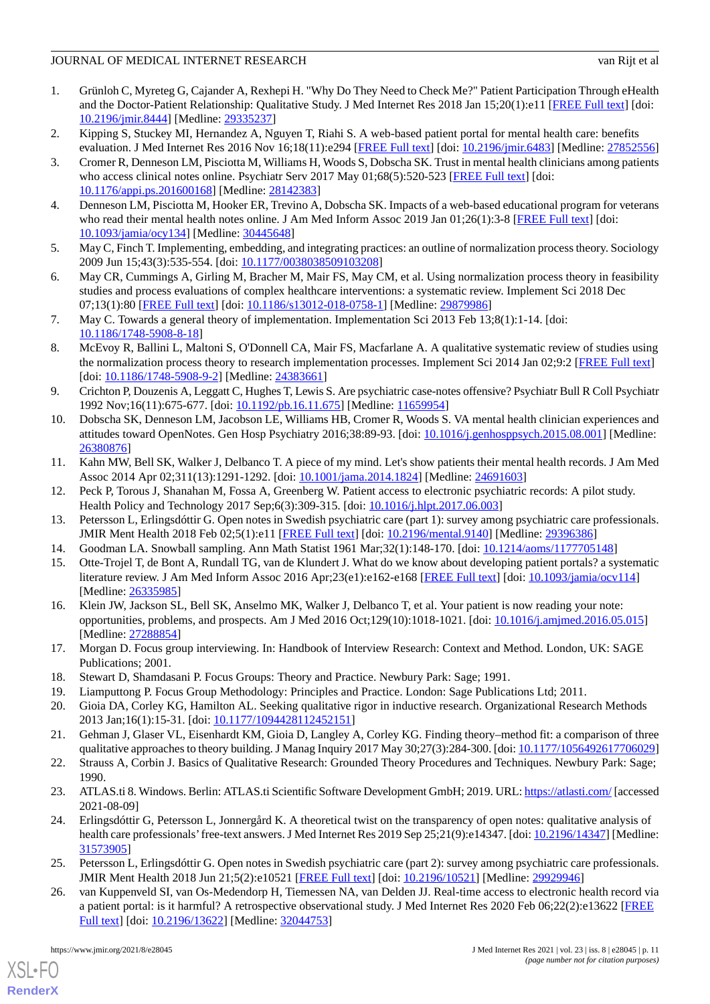- <span id="page-10-0"></span>1. Grünloh C, Myreteg G, Cajander A, Rexhepi H. "Why Do They Need to Check Me?" Patient Participation Through eHealth and the Doctor-Patient Relationship: Qualitative Study. J Med Internet Res 2018 Jan 15;20(1):e11 [\[FREE Full text\]](https://www.jmir.org/2018/1/e11/) [doi: [10.2196/jmir.8444](http://dx.doi.org/10.2196/jmir.8444)] [Medline: [29335237](http://www.ncbi.nlm.nih.gov/entrez/query.fcgi?cmd=Retrieve&db=PubMed&list_uids=29335237&dopt=Abstract)]
- <span id="page-10-2"></span><span id="page-10-1"></span>2. Kipping S, Stuckey MI, Hernandez A, Nguyen T, Riahi S. A web-based patient portal for mental health care: benefits evaluation. J Med Internet Res 2016 Nov 16;18(11):e294 [\[FREE Full text\]](http://www.jmir.org/2016/11/e294/) [doi: [10.2196/jmir.6483\]](http://dx.doi.org/10.2196/jmir.6483) [Medline: [27852556](http://www.ncbi.nlm.nih.gov/entrez/query.fcgi?cmd=Retrieve&db=PubMed&list_uids=27852556&dopt=Abstract)]
- 3. Cromer R, Denneson LM, Pisciotta M, Williams H, Woods S, Dobscha SK. Trust in mental health clinicians among patients who access clinical notes online. Psychiatr Serv 2017 May 01;68(5):520-523 [\[FREE Full text](http://europepmc.org/abstract/MED/28142383)] [doi: [10.1176/appi.ps.201600168\]](http://dx.doi.org/10.1176/appi.ps.201600168) [Medline: [28142383\]](http://www.ncbi.nlm.nih.gov/entrez/query.fcgi?cmd=Retrieve&db=PubMed&list_uids=28142383&dopt=Abstract)
- <span id="page-10-4"></span><span id="page-10-3"></span>4. Denneson LM, Pisciotta M, Hooker ER, Trevino A, Dobscha SK. Impacts of a web-based educational program for veterans who read their mental health notes online. J Am Med Inform Assoc 2019 Jan 01;26(1):3-8 [[FREE Full text](http://europepmc.org/abstract/MED/30445648)] [doi: [10.1093/jamia/ocy134](http://dx.doi.org/10.1093/jamia/ocy134)] [Medline: [30445648\]](http://www.ncbi.nlm.nih.gov/entrez/query.fcgi?cmd=Retrieve&db=PubMed&list_uids=30445648&dopt=Abstract)
- <span id="page-10-5"></span>5. May C, Finch T. Implementing, embedding, and integrating practices: an outline of normalization process theory. Sociology 2009 Jun 15;43(3):535-554. [doi: [10.1177/0038038509103208\]](http://dx.doi.org/10.1177/0038038509103208)
- 6. May CR, Cummings A, Girling M, Bracher M, Mair FS, May CM, et al. Using normalization process theory in feasibility studies and process evaluations of complex healthcare interventions: a systematic review. Implement Sci 2018 Dec 07;13(1):80 [[FREE Full text\]](https://implementationscience.biomedcentral.com/articles/10.1186/s13012-018-0758-1) [doi: [10.1186/s13012-018-0758-1](http://dx.doi.org/10.1186/s13012-018-0758-1)] [Medline: [29879986](http://www.ncbi.nlm.nih.gov/entrez/query.fcgi?cmd=Retrieve&db=PubMed&list_uids=29879986&dopt=Abstract)]
- <span id="page-10-6"></span>7. May C. Towards a general theory of implementation. Implementation Sci 2013 Feb 13;8(1):1-14. [doi: [10.1186/1748-5908-8-18\]](http://dx.doi.org/10.1186/1748-5908-8-18)
- <span id="page-10-7"></span>8. McEvoy R, Ballini L, Maltoni S, O'Donnell CA, Mair FS, Macfarlane A. A qualitative systematic review of studies using the normalization process theory to research implementation processes. Implement Sci 2014 Jan 02;9:2 [\[FREE Full text\]](https://implementationscience.biomedcentral.com/articles/10.1186/1748-5908-9-2) [doi: [10.1186/1748-5908-9-2](http://dx.doi.org/10.1186/1748-5908-9-2)] [Medline: [24383661\]](http://www.ncbi.nlm.nih.gov/entrez/query.fcgi?cmd=Retrieve&db=PubMed&list_uids=24383661&dopt=Abstract)
- <span id="page-10-8"></span>9. Crichton P, Douzenis A, Leggatt C, Hughes T, Lewis S. Are psychiatric case-notes offensive? Psychiatr Bull R Coll Psychiatr 1992 Nov;16(11):675-677. [doi: [10.1192/pb.16.11.675](http://dx.doi.org/10.1192/pb.16.11.675)] [Medline: [11659954](http://www.ncbi.nlm.nih.gov/entrez/query.fcgi?cmd=Retrieve&db=PubMed&list_uids=11659954&dopt=Abstract)]
- <span id="page-10-12"></span>10. Dobscha SK, Denneson LM, Jacobson LE, Williams HB, Cromer R, Woods S. VA mental health clinician experiences and attitudes toward OpenNotes. Gen Hosp Psychiatry 2016;38:89-93. [doi: [10.1016/j.genhosppsych.2015.08.001](http://dx.doi.org/10.1016/j.genhosppsych.2015.08.001)] [Medline: [26380876](http://www.ncbi.nlm.nih.gov/entrez/query.fcgi?cmd=Retrieve&db=PubMed&list_uids=26380876&dopt=Abstract)]
- <span id="page-10-10"></span><span id="page-10-9"></span>11. Kahn MW, Bell SK, Walker J, Delbanco T. A piece of my mind. Let's show patients their mental health records. J Am Med Assoc 2014 Apr 02;311(13):1291-1292. [doi: [10.1001/jama.2014.1824\]](http://dx.doi.org/10.1001/jama.2014.1824) [Medline: [24691603](http://www.ncbi.nlm.nih.gov/entrez/query.fcgi?cmd=Retrieve&db=PubMed&list_uids=24691603&dopt=Abstract)]
- <span id="page-10-11"></span>12. Peck P, Torous J, Shanahan M, Fossa A, Greenberg W. Patient access to electronic psychiatric records: A pilot study. Health Policy and Technology 2017 Sep;6(3):309-315. [doi: [10.1016/j.hlpt.2017.06.003](http://dx.doi.org/10.1016/j.hlpt.2017.06.003)]
- <span id="page-10-13"></span>13. Petersson L, Erlingsdóttir G. Open notes in Swedish psychiatric care (part 1): survey among psychiatric care professionals. JMIR Ment Health 2018 Feb 02;5(1):e11 [\[FREE Full text\]](http://mental.jmir.org/2018/1/e11/) [doi: [10.2196/mental.9140\]](http://dx.doi.org/10.2196/mental.9140) [Medline: [29396386\]](http://www.ncbi.nlm.nih.gov/entrez/query.fcgi?cmd=Retrieve&db=PubMed&list_uids=29396386&dopt=Abstract)
- <span id="page-10-14"></span>14. Goodman LA. Snowball sampling. Ann Math Statist 1961 Mar;32(1):148-170. [doi: [10.1214/aoms/1177705148\]](http://dx.doi.org/10.1214/aoms/1177705148)
- <span id="page-10-15"></span>15. Otte-Trojel T, de Bont A, Rundall TG, van de Klundert J. What do we know about developing patient portals? a systematic literature review. J Am Med Inform Assoc 2016 Apr;23(e1):e162-e168 [[FREE Full text](http://europepmc.org/abstract/MED/26335985)] [doi: [10.1093/jamia/ocv114](http://dx.doi.org/10.1093/jamia/ocv114)] [Medline: [26335985](http://www.ncbi.nlm.nih.gov/entrez/query.fcgi?cmd=Retrieve&db=PubMed&list_uids=26335985&dopt=Abstract)]
- <span id="page-10-17"></span><span id="page-10-16"></span>16. Klein JW, Jackson SL, Bell SK, Anselmo MK, Walker J, Delbanco T, et al. Your patient is now reading your note: opportunities, problems, and prospects. Am J Med 2016 Oct;129(10):1018-1021. [doi: [10.1016/j.amjmed.2016.05.015](http://dx.doi.org/10.1016/j.amjmed.2016.05.015)] [Medline: [27288854](http://www.ncbi.nlm.nih.gov/entrez/query.fcgi?cmd=Retrieve&db=PubMed&list_uids=27288854&dopt=Abstract)]
- <span id="page-10-19"></span><span id="page-10-18"></span>17. Morgan D. Focus group interviewing. In: Handbook of Interview Research: Context and Method. London, UK: SAGE Publications; 2001.
- 18. Stewart D, Shamdasani P. Focus Groups: Theory and Practice. Newbury Park: Sage; 1991.
- <span id="page-10-20"></span>19. Liamputtong P. Focus Group Methodology: Principles and Practice. London: Sage Publications Ltd; 2011.
- <span id="page-10-21"></span>20. Gioia DA, Corley KG, Hamilton AL. Seeking qualitative rigor in inductive research. Organizational Research Methods 2013 Jan;16(1):15-31. [doi: [10.1177/1094428112452151\]](http://dx.doi.org/10.1177/1094428112452151)
- <span id="page-10-22"></span>21. Gehman J, Glaser VL, Eisenhardt KM, Gioia D, Langley A, Corley KG. Finding theory–method fit: a comparison of three qualitative approaches to theory building. J Manag Inquiry 2017 May 30;27(3):284-300. [doi: [10.1177/1056492617706029\]](http://dx.doi.org/10.1177/1056492617706029)
- 22. Strauss A, Corbin J. Basics of Qualitative Research: Grounded Theory Procedures and Techniques. Newbury Park: Sage; 1990.
- <span id="page-10-24"></span><span id="page-10-23"></span>23. ATLAS.ti 8. Windows. Berlin: ATLAS.ti Scientific Software Development GmbH; 2019. URL:<https://atlasti.com/> [accessed 2021-08-09]
- 24. Erlingsdóttir G, Petersson L, Jonnergård K. A theoretical twist on the transparency of open notes: qualitative analysis of health care professionals' free-text answers. J Med Internet Res 2019 Sep 25;21(9):e14347. [doi: [10.2196/14347](http://dx.doi.org/10.2196/14347)] [Medline: [31573905](http://www.ncbi.nlm.nih.gov/entrez/query.fcgi?cmd=Retrieve&db=PubMed&list_uids=31573905&dopt=Abstract)]
- 25. Petersson L, Erlingsdóttir G. Open notes in Swedish psychiatric care (part 2): survey among psychiatric care professionals. JMIR Ment Health 2018 Jun 21;5(2):e10521 [[FREE Full text](https://mental.jmir.org/2018/2/e10521/)] [doi: [10.2196/10521\]](http://dx.doi.org/10.2196/10521) [Medline: [29929946\]](http://www.ncbi.nlm.nih.gov/entrez/query.fcgi?cmd=Retrieve&db=PubMed&list_uids=29929946&dopt=Abstract)
- 26. van Kuppenveld SI, van Os-Medendorp H, Tiemessen NA, van Delden JJ. Real-time access to electronic health record via a patient portal: is it harmful? A retrospective observational study. J Med Internet Res 2020 Feb 06;22(2):e13622 [\[FREE](https://www.jmir.org/2020/2/e13622/) [Full text\]](https://www.jmir.org/2020/2/e13622/) [doi: [10.2196/13622\]](http://dx.doi.org/10.2196/13622) [Medline: [32044753](http://www.ncbi.nlm.nih.gov/entrez/query.fcgi?cmd=Retrieve&db=PubMed&list_uids=32044753&dopt=Abstract)]